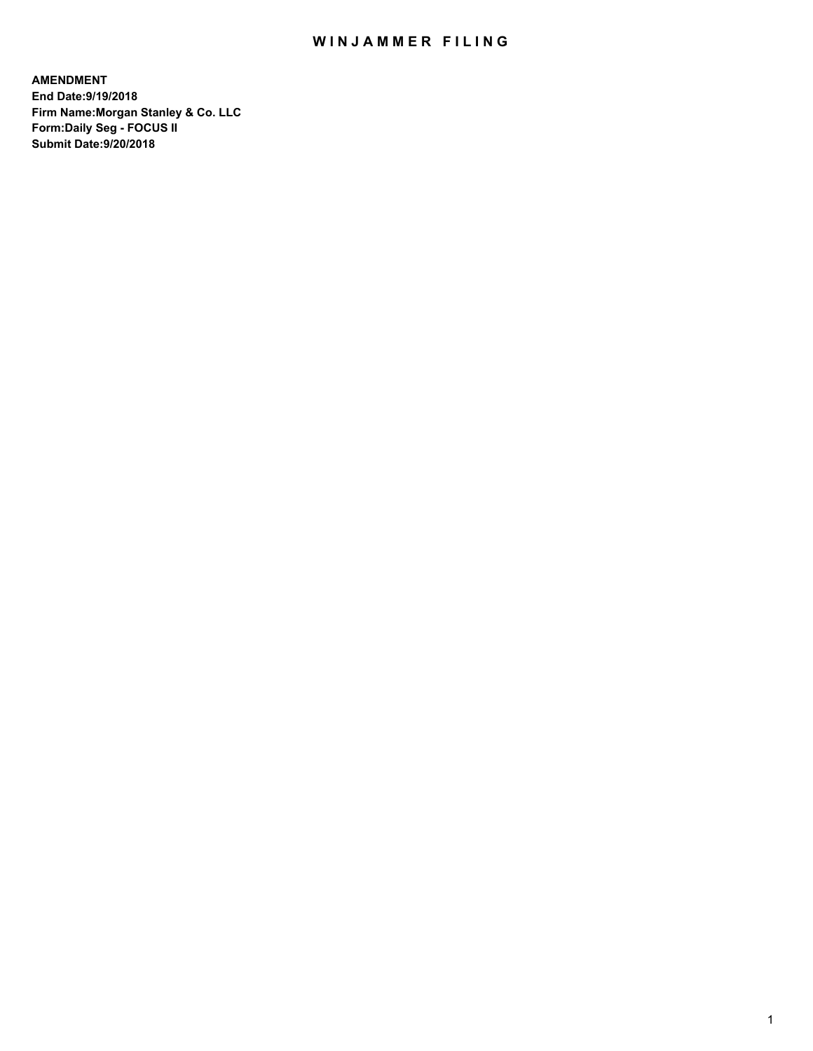## WIN JAMMER FILING

**AMENDMENT End Date:9/19/2018 Firm Name:Morgan Stanley & Co. LLC Form:Daily Seg - FOCUS II Submit Date:9/20/2018**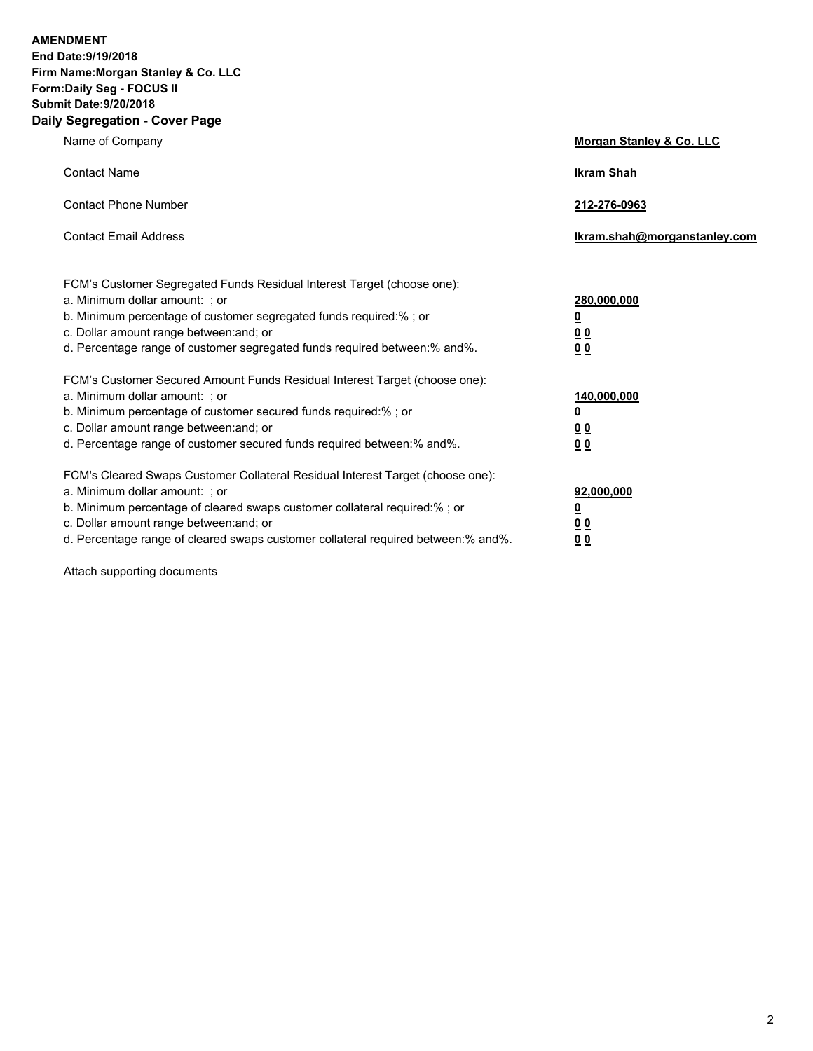**AMENDMENT End Date:9/19/2018 Firm Name:Morgan Stanley & Co. LLC Form:Daily Seg - FOCUS II Submit Date:9/20/2018 Daily Segregation - Cover Page**

| Name of Company                                                                                                                                                                                                                                                                                                                | Morgan Stanley & Co. LLC                               |
|--------------------------------------------------------------------------------------------------------------------------------------------------------------------------------------------------------------------------------------------------------------------------------------------------------------------------------|--------------------------------------------------------|
| <b>Contact Name</b>                                                                                                                                                                                                                                                                                                            | <b>Ikram Shah</b>                                      |
| <b>Contact Phone Number</b>                                                                                                                                                                                                                                                                                                    | 212-276-0963                                           |
| <b>Contact Email Address</b>                                                                                                                                                                                                                                                                                                   | Ikram.shah@morganstanley.com                           |
| FCM's Customer Segregated Funds Residual Interest Target (choose one):<br>a. Minimum dollar amount: ; or<br>b. Minimum percentage of customer segregated funds required:% ; or<br>c. Dollar amount range between: and; or<br>d. Percentage range of customer segregated funds required between:% and%.                         | 280,000,000<br><u>0</u><br>0 <sup>0</sup><br><u>00</u> |
| FCM's Customer Secured Amount Funds Residual Interest Target (choose one):<br>a. Minimum dollar amount: ; or<br>b. Minimum percentage of customer secured funds required:%; or<br>c. Dollar amount range between: and; or<br>d. Percentage range of customer secured funds required between:% and%.                            | 140,000,000<br><u>0</u><br>0 Q<br>0 <sup>0</sup>       |
| FCM's Cleared Swaps Customer Collateral Residual Interest Target (choose one):<br>a. Minimum dollar amount: ; or<br>b. Minimum percentage of cleared swaps customer collateral required:% ; or<br>c. Dollar amount range between: and; or<br>d. Percentage range of cleared swaps customer collateral required between:% and%. | 92,000,000<br><u>0</u><br><u>00</u><br>00              |

Attach supporting documents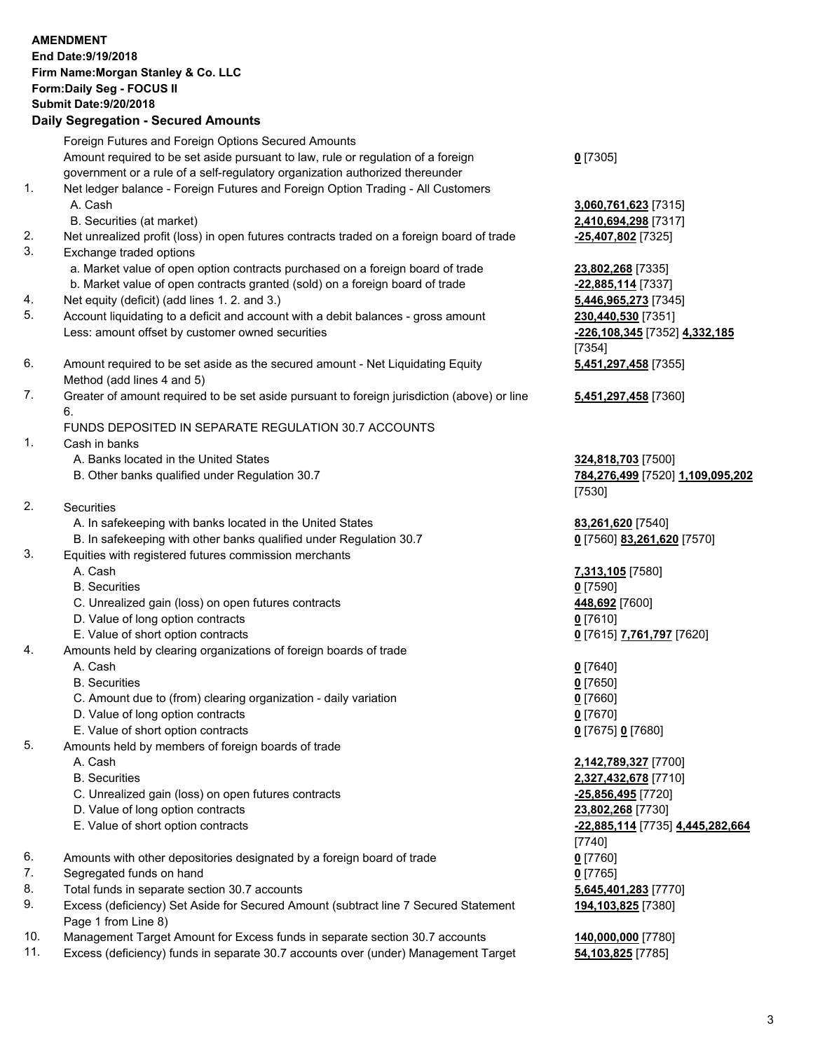|          | <b>AMENDMENT</b><br>End Date: 9/19/2018<br>Firm Name: Morgan Stanley & Co. LLC<br>Form: Daily Seg - FOCUS II<br><b>Submit Date: 9/20/2018</b><br><b>Daily Segregation - Secured Amounts</b>                                                         |                                                   |
|----------|-----------------------------------------------------------------------------------------------------------------------------------------------------------------------------------------------------------------------------------------------------|---------------------------------------------------|
|          | Foreign Futures and Foreign Options Secured Amounts                                                                                                                                                                                                 |                                                   |
| 1.       | Amount required to be set aside pursuant to law, rule or regulation of a foreign<br>government or a rule of a self-regulatory organization authorized thereunder<br>Net ledger balance - Foreign Futures and Foreign Option Trading - All Customers | $0$ [7305]                                        |
|          | A. Cash<br>B. Securities (at market)                                                                                                                                                                                                                | 3,060,761,623 [7315]<br>2,410,694,298 [7317]      |
| 2.       | Net unrealized profit (loss) in open futures contracts traded on a foreign board of trade                                                                                                                                                           | -25,407,802 [7325]                                |
| 3.       | Exchange traded options                                                                                                                                                                                                                             |                                                   |
|          | a. Market value of open option contracts purchased on a foreign board of trade                                                                                                                                                                      | 23,802,268 [7335]                                 |
|          | b. Market value of open contracts granted (sold) on a foreign board of trade                                                                                                                                                                        | -22,885,114 [7337]                                |
| 4.       | Net equity (deficit) (add lines 1.2. and 3.)                                                                                                                                                                                                        | 5,446,965,273 [7345]                              |
| 5.       | Account liquidating to a deficit and account with a debit balances - gross amount                                                                                                                                                                   | 230,440,530 [7351]                                |
|          | Less: amount offset by customer owned securities                                                                                                                                                                                                    | -226,108,345 [7352] 4,332,185<br>[7354]           |
| 6.       | Amount required to be set aside as the secured amount - Net Liquidating Equity<br>Method (add lines 4 and 5)                                                                                                                                        | 5,451,297,458 [7355]                              |
| 7.       | Greater of amount required to be set aside pursuant to foreign jurisdiction (above) or line<br>6.                                                                                                                                                   | 5,451,297,458 [7360]                              |
|          | FUNDS DEPOSITED IN SEPARATE REGULATION 30.7 ACCOUNTS                                                                                                                                                                                                |                                                   |
| 1.       | Cash in banks                                                                                                                                                                                                                                       |                                                   |
|          | A. Banks located in the United States                                                                                                                                                                                                               | 324,818,703 [7500]                                |
|          | B. Other banks qualified under Regulation 30.7                                                                                                                                                                                                      | <u>784,276,499</u> [7520] 1,109,095,202<br>[7530] |
| 2.       | Securities                                                                                                                                                                                                                                          |                                                   |
|          | A. In safekeeping with banks located in the United States                                                                                                                                                                                           | 83,261,620 [7540]                                 |
| 3.       | B. In safekeeping with other banks qualified under Regulation 30.7<br>Equities with registered futures commission merchants                                                                                                                         | 0 [7560] 83,261,620 [7570]                        |
|          | A. Cash                                                                                                                                                                                                                                             | 7,313,105 [7580]                                  |
|          | <b>B.</b> Securities                                                                                                                                                                                                                                | $0$ [7590]                                        |
|          | C. Unrealized gain (loss) on open futures contracts                                                                                                                                                                                                 | 448,692 [7600]                                    |
|          | D. Value of long option contracts                                                                                                                                                                                                                   | $0$ [7610]                                        |
|          | E. Value of short option contracts                                                                                                                                                                                                                  | <u>0</u> [7615] 7,761,797 [7620]                  |
| 4.       | Amounts held by clearing organizations of foreign boards of trade<br>A. Cash                                                                                                                                                                        |                                                   |
|          | <b>B.</b> Securities                                                                                                                                                                                                                                | $0$ [7640]<br>$0$ [7650]                          |
|          | C. Amount due to (from) clearing organization - daily variation                                                                                                                                                                                     | $0$ [7660]                                        |
|          | D. Value of long option contracts                                                                                                                                                                                                                   | $0$ [7670]                                        |
|          | E. Value of short option contracts                                                                                                                                                                                                                  | 0 [7675] 0 [7680]                                 |
| 5.       | Amounts held by members of foreign boards of trade                                                                                                                                                                                                  |                                                   |
|          | A. Cash                                                                                                                                                                                                                                             | 2,142,789,327 [7700]                              |
|          | <b>B.</b> Securities                                                                                                                                                                                                                                | 2,327,432,678 [7710]                              |
|          | C. Unrealized gain (loss) on open futures contracts                                                                                                                                                                                                 | -25,856,495 [7720]                                |
|          | D. Value of long option contracts                                                                                                                                                                                                                   | 23,802,268 [7730]                                 |
|          | E. Value of short option contracts                                                                                                                                                                                                                  | -22,885,114 [7735] 4,445,282,664                  |
|          |                                                                                                                                                                                                                                                     | [7740]                                            |
| 6.       | Amounts with other depositories designated by a foreign board of trade                                                                                                                                                                              | $0$ [7760]                                        |
| 7.       | Segregated funds on hand                                                                                                                                                                                                                            | $0$ [7765]                                        |
| 8.<br>9. | Total funds in separate section 30.7 accounts<br>Excess (deficiency) Set Aside for Secured Amount (subtract line 7 Secured Statement                                                                                                                | 5,645,401,283 [7770]                              |
|          | Page 1 from Line 8)                                                                                                                                                                                                                                 | 194,103,825 [7380]                                |
| 10.      | Management Target Amount for Excess funds in separate section 30.7 accounts                                                                                                                                                                         | 140,000,000 [7780]                                |

11. Excess (deficiency) funds in separate 30.7 accounts over (under) Management Target **54,103,825** [7785]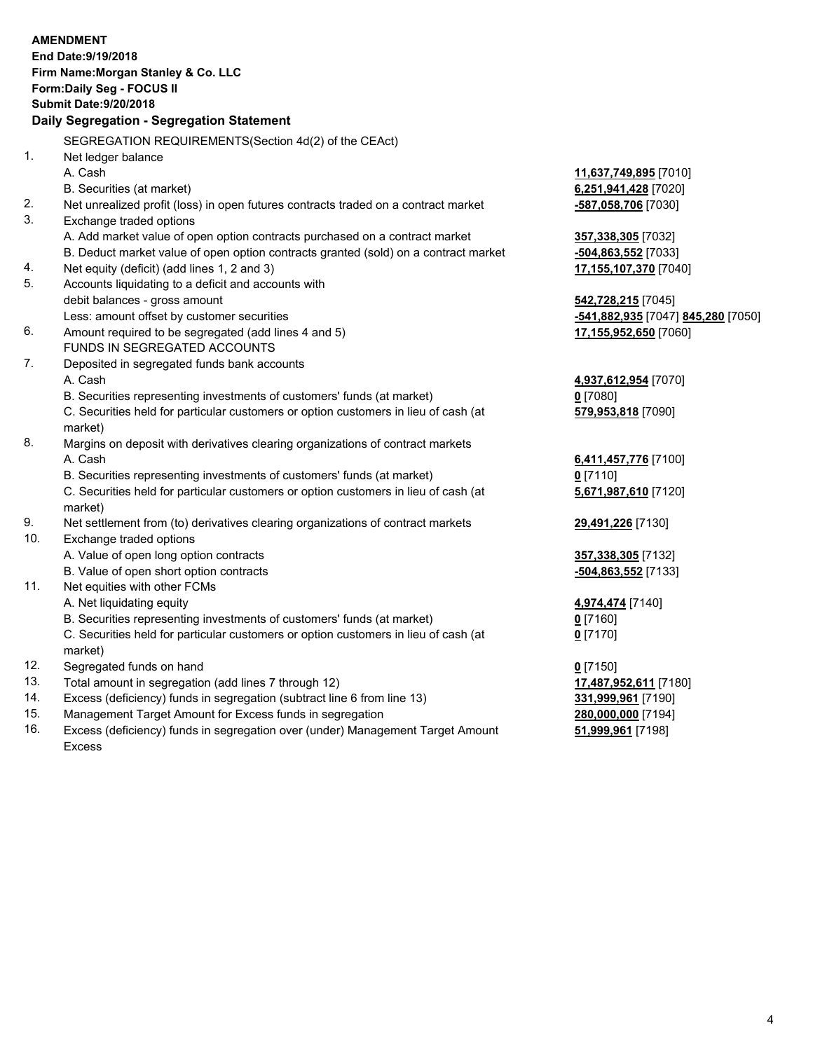|           | <b>AMENDMENT</b>                                                                    |                        |
|-----------|-------------------------------------------------------------------------------------|------------------------|
|           | End Date: 9/19/2018                                                                 |                        |
|           | Firm Name: Morgan Stanley & Co. LLC                                                 |                        |
|           | Form: Daily Seg - FOCUS II                                                          |                        |
|           | <b>Submit Date: 9/20/2018</b>                                                       |                        |
|           | Daily Segregation - Segregation Statement                                           |                        |
|           | SEGREGATION REQUIREMENTS(Section 4d(2) of the CEAct)                                |                        |
| 1.        | Net ledger balance                                                                  |                        |
|           | A. Cash                                                                             | 11,637,749,895 [7010]  |
|           | B. Securities (at market)                                                           | 6,251,941,428 [7020]   |
| 2.        | Net unrealized profit (loss) in open futures contracts traded on a contract market  | -587,058,706 [7030]    |
| 3.        | Exchange traded options                                                             |                        |
|           | A. Add market value of open option contracts purchased on a contract market         | 357,338,305 [7032]     |
|           | B. Deduct market value of open option contracts granted (sold) on a contract market | -504,863,552 [7033]    |
| 4.        | Net equity (deficit) (add lines 1, 2 and 3)                                         | 17,155,107,370 [7040]  |
| 5.        | Accounts liquidating to a deficit and accounts with                                 |                        |
|           | debit balances - gross amount                                                       | 542,728,215 [7045]     |
|           | Less: amount offset by customer securities                                          | -541,882,935 [7047] 84 |
| 6.        | Amount required to be segregated (add lines 4 and 5)                                | 17,155,952,650 [7060]  |
|           | FUNDS IN SEGREGATED ACCOUNTS                                                        |                        |
| 7.        | Deposited in segregated funds bank accounts                                         |                        |
|           | A. Cash                                                                             | 4,937,612,954 [7070]   |
|           | B. Securities representing investments of customers' funds (at market)              | $0$ [7080]             |
|           | C. Securities held for particular customers or option customers in lieu of cash (at | 579,953,818 [7090]     |
|           | market)                                                                             |                        |
| 8.        | Margins on deposit with derivatives clearing organizations of contract markets      |                        |
|           | A. Cash                                                                             | 6,411,457,776 [7100]   |
|           | B. Securities representing investments of customers' funds (at market)              | $0$ [7110]             |
|           | C. Securities held for particular customers or option customers in lieu of cash (at | 5,671,987,610 [7120]   |
|           | market)                                                                             |                        |
| 9.<br>10. | Net settlement from (to) derivatives clearing organizations of contract markets     | 29,491,226 [7130]      |
|           | Exchange traded options                                                             |                        |
|           | A. Value of open long option contracts<br>B. Value of open short option contracts   | 357,338,305 [7132]     |
| 11.       | Net equities with other FCMs                                                        | -504,863,552 [7133]    |
|           | A. Net liquidating equity                                                           | 4,974,474 [7140]       |
|           |                                                                                     |                        |

B. Securities representing investments of customers' funds (at market) **0** [7160]

C. Securities held for particular customers or option customers in lieu of cash (at market)

- 12. Segregated funds on hand **0** [7150]
- 13. Total amount in segregation (add lines 7 through 12) **17,487,952,611** [7180]
- 14. Excess (deficiency) funds in segregation (subtract line 6 from line 13) **331,999,961** [7190]
- 15. Management Target Amount for Excess funds in segregation **280,000,000** [7194]
- 16. Excess (deficiency) funds in segregation over (under) Management Target Amount Excess

Less: amount offset by customer securities **-541,882,935** [7047] **845,280** [7050]

**0** [7170]

**51,999,961** [7198]